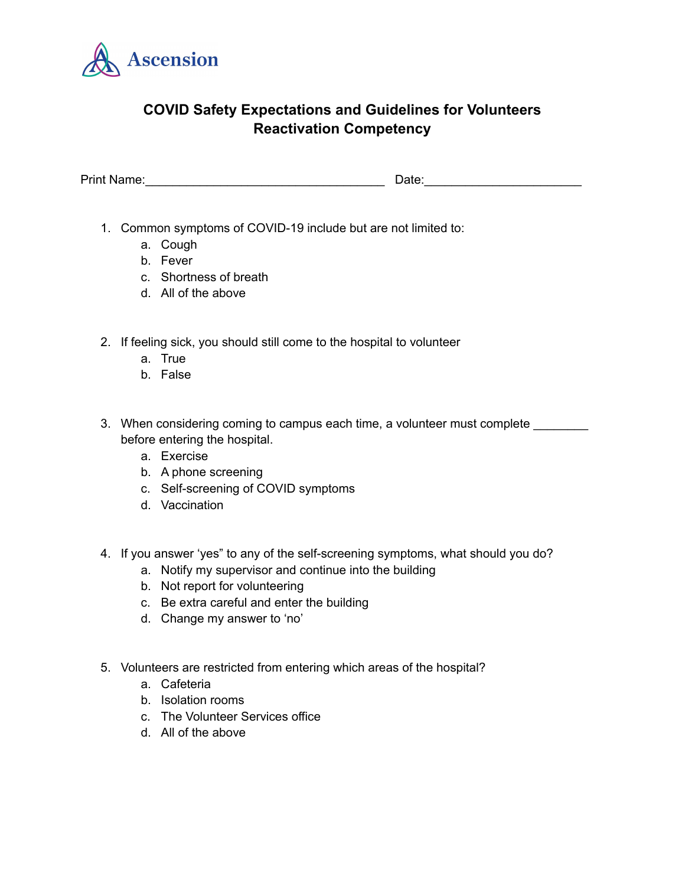

## **COVID Safety Expectations and Guidelines for Volunteers Reactivation Competency**

Print Name: <u>Date:</u>

- 1. Common symptoms of COVID-19 include but are not limited to:
	- a. Cough
	- b. Fever
	- c. Shortness of breath
	- d. All of the above
- 2. If feeling sick, you should still come to the hospital to volunteer
	- a. True
	- b. False
- 3. When considering coming to campus each time, a volunteer must complete before entering the hospital.
	- a. Exercise
	- b. A phone screening
	- c. Self-screening of COVID symptoms
	- d. Vaccination
- 4. If you answer 'yes" to any of the self-screening symptoms, what should you do?
	- a. Notify my supervisor and continue into the building
	- b. Not report for volunteering
	- c. Be extra careful and enter the building
	- d. Change my answer to 'no'
- 5. Volunteers are restricted from entering which areas of the hospital?
	- a. Cafeteria
	- b. Isolation rooms
	- c. The Volunteer Services office
	- d. All of the above